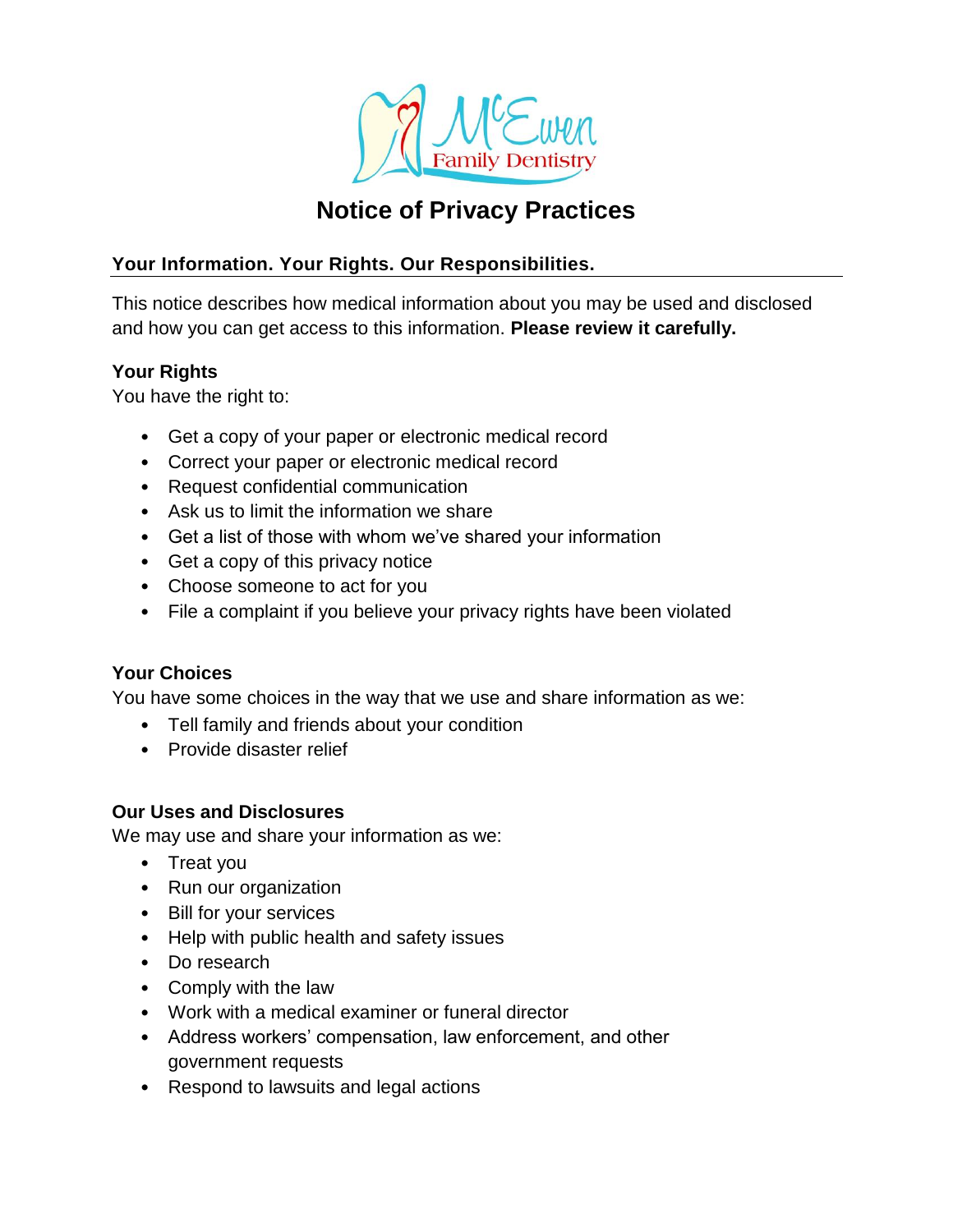

# **Notice of Privacy Practices**

## **Your Information. Your Rights. Our Responsibilities.**

This notice describes how medical information about you may be used and disclosed and how you can get access to this information. **Please review it carefully.**

#### **Your Rights**

You have the right to:

- Get a copy of your paper or electronic medical record
- Correct your paper or electronic medical record
- Request confidential communication
- Ask us to limit the information we share
- Get a list of those with whom we've shared your information
- Get a copy of this privacy notice
- Choose someone to act for you
- File a complaint if you believe your privacy rights have been violated

#### **Your Choices**

You have some choices in the way that we use and share information as we:

- Tell family and friends about your condition
- Provide disaster relief

#### **Our Uses and Disclosures**

We may use and share your information as we:

- Treat you
- Run our organization
- Bill for your services
- Help with public health and safety issues
- Do research
- Comply with the law
- Work with a medical examiner or funeral director
- Address workers' compensation, law enforcement, and other government requests
- Respond to lawsuits and legal actions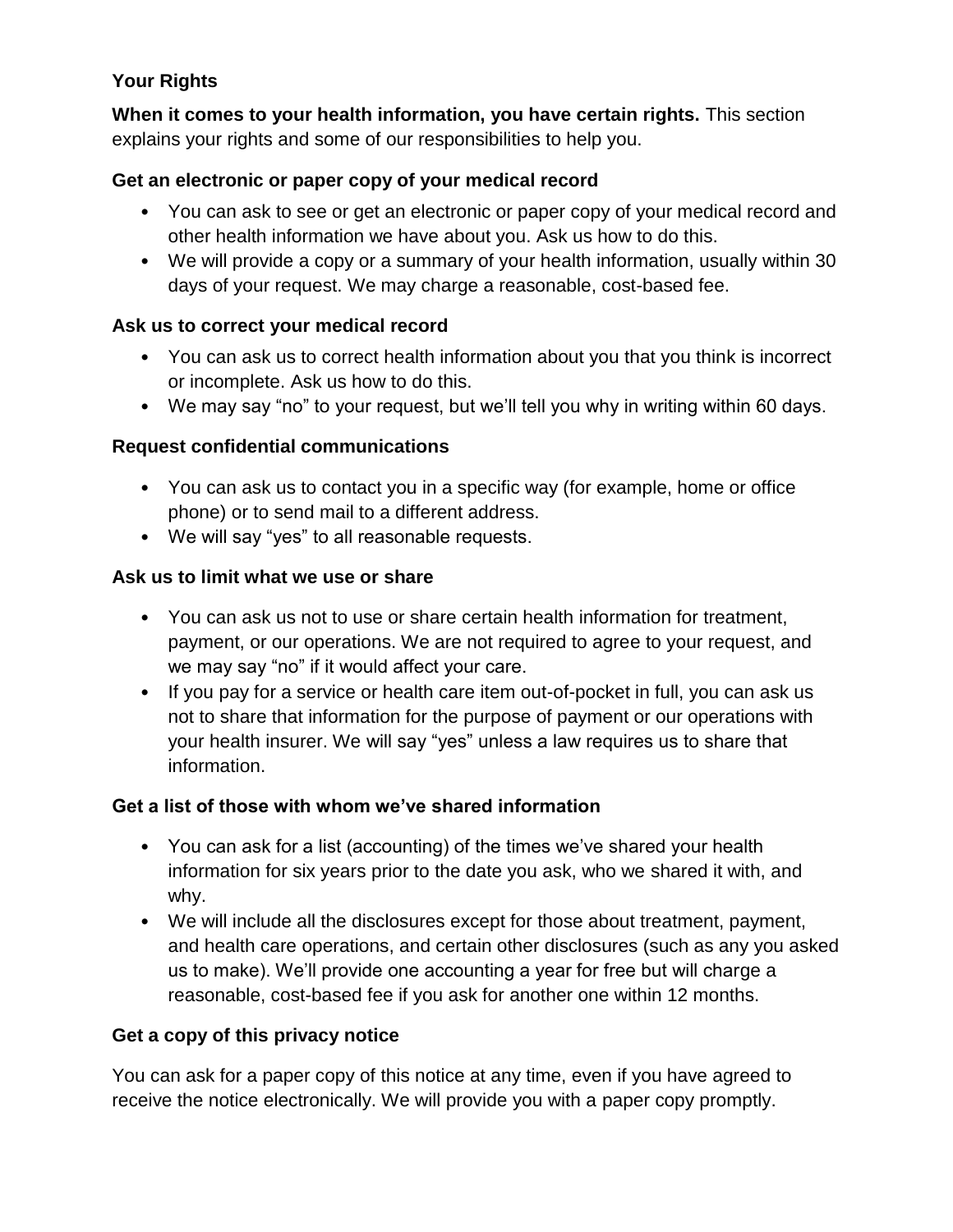## **Your Rights**

**When it comes to your health information, you have certain rights.** This section explains your rights and some of our responsibilities to help you.

## **Get an electronic or paper copy of your medical record**

- You can ask to see or get an electronic or paper copy of your medical record and other health information we have about you. Ask us how to do this.
- We will provide a copy or a summary of your health information, usually within 30 days of your request. We may charge a reasonable, cost-based fee.

## **Ask us to correct your medical record**

- You can ask us to correct health information about you that you think is incorrect or incomplete. Ask us how to do this.
- We may say "no" to your request, but we'll tell you why in writing within 60 days.

## **Request confidential communications**

- You can ask us to contact you in a specific way (for example, home or office phone) or to send mail to a different address.
- We will say "yes" to all reasonable requests.

## **Ask us to limit what we use or share**

- You can ask us not to use or share certain health information for treatment, payment, or our operations. We are not required to agree to your request, and we may say "no" if it would affect your care.
- If you pay for a service or health care item out-of-pocket in full, you can ask us not to share that information for the purpose of payment or our operations with your health insurer. We will say "yes" unless a law requires us to share that information.

#### **Get a list of those with whom we've shared information**

- You can ask for a list (accounting) of the times we've shared your health information for six years prior to the date you ask, who we shared it with, and why.
- We will include all the disclosures except for those about treatment, payment, and health care operations, and certain other disclosures (such as any you asked us to make). We'll provide one accounting a year for free but will charge a reasonable, cost-based fee if you ask for another one within 12 months.

#### **Get a copy of this privacy notice**

You can ask for a paper copy of this notice at any time, even if you have agreed to receive the notice electronically. We will provide you with a paper copy promptly.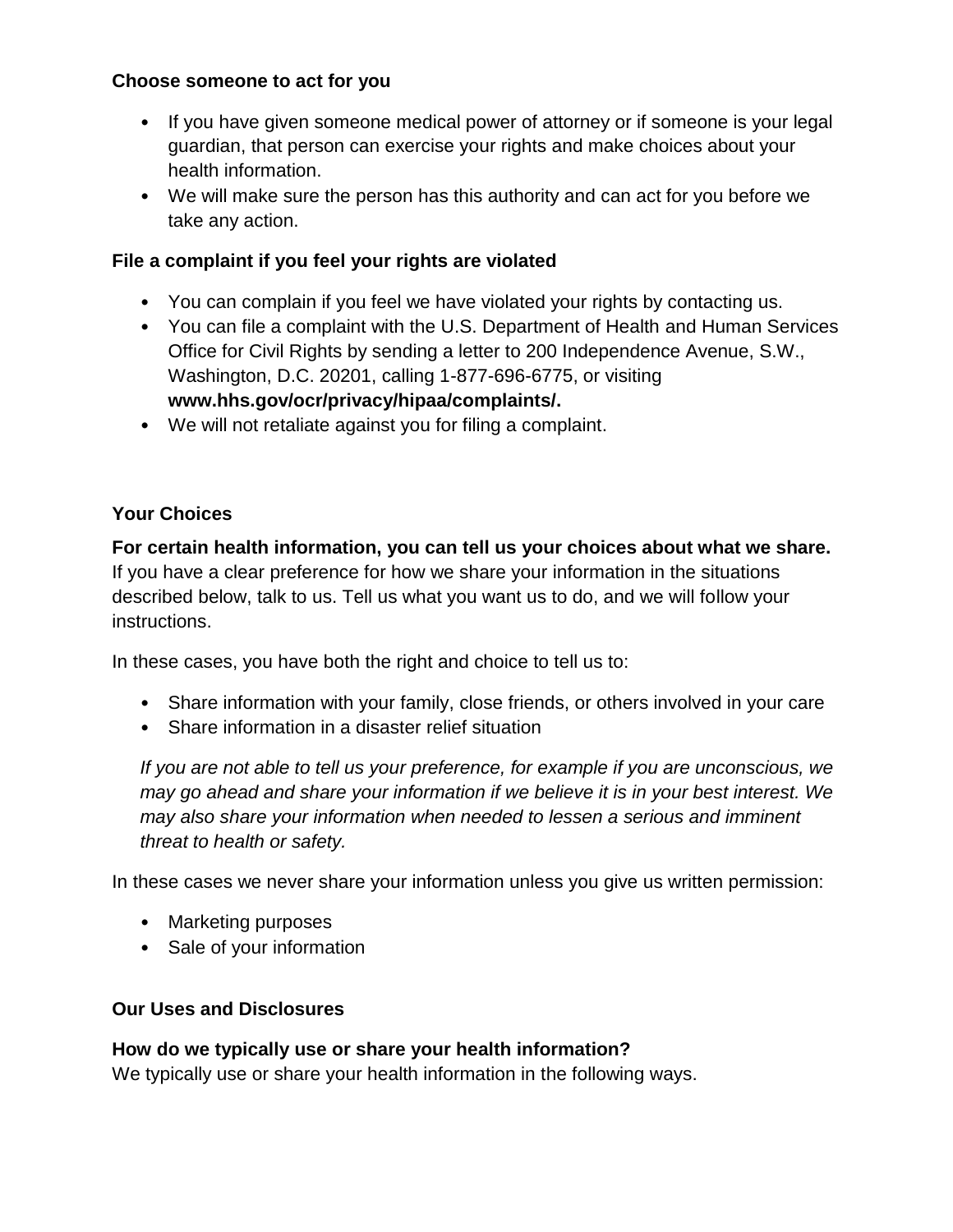#### **Choose someone to act for you**

- If you have given someone medical power of attorney or if someone is your legal guardian, that person can exercise your rights and make choices about your health information.
- We will make sure the person has this authority and can act for you before we take any action.

## **File a complaint if you feel your rights are violated**

- You can complain if you feel we have violated your rights by contacting us.
- You can file a complaint with the U.S. Department of Health and Human Services Office for Civil Rights by sending a letter to 200 Independence Avenue, S.W., Washington, D.C. 20201, calling 1-877-696-6775, or visiting **www.hhs.gov/ocr/privacy/hipaa/complaints/.**
- We will not retaliate against you for filing a complaint.

## **Your Choices**

**For certain health information, you can tell us your choices about what we share.**  If you have a clear preference for how we share your information in the situations described below, talk to us. Tell us what you want us to do, and we will follow your instructions.

In these cases, you have both the right and choice to tell us to:

- Share information with your family, close friends, or others involved in your care
- Share information in a disaster relief situation

*If you are not able to tell us your preference, for example if you are unconscious, we may go ahead and share your information if we believe it is in your best interest. We may also share your information when needed to lessen a serious and imminent threat to health or safety.*

In these cases we never share your information unless you give us written permission:

- Marketing purposes
- Sale of your information

#### **Our Uses and Disclosures**

**How do we typically use or share your health information?**  We typically use or share your health information in the following ways.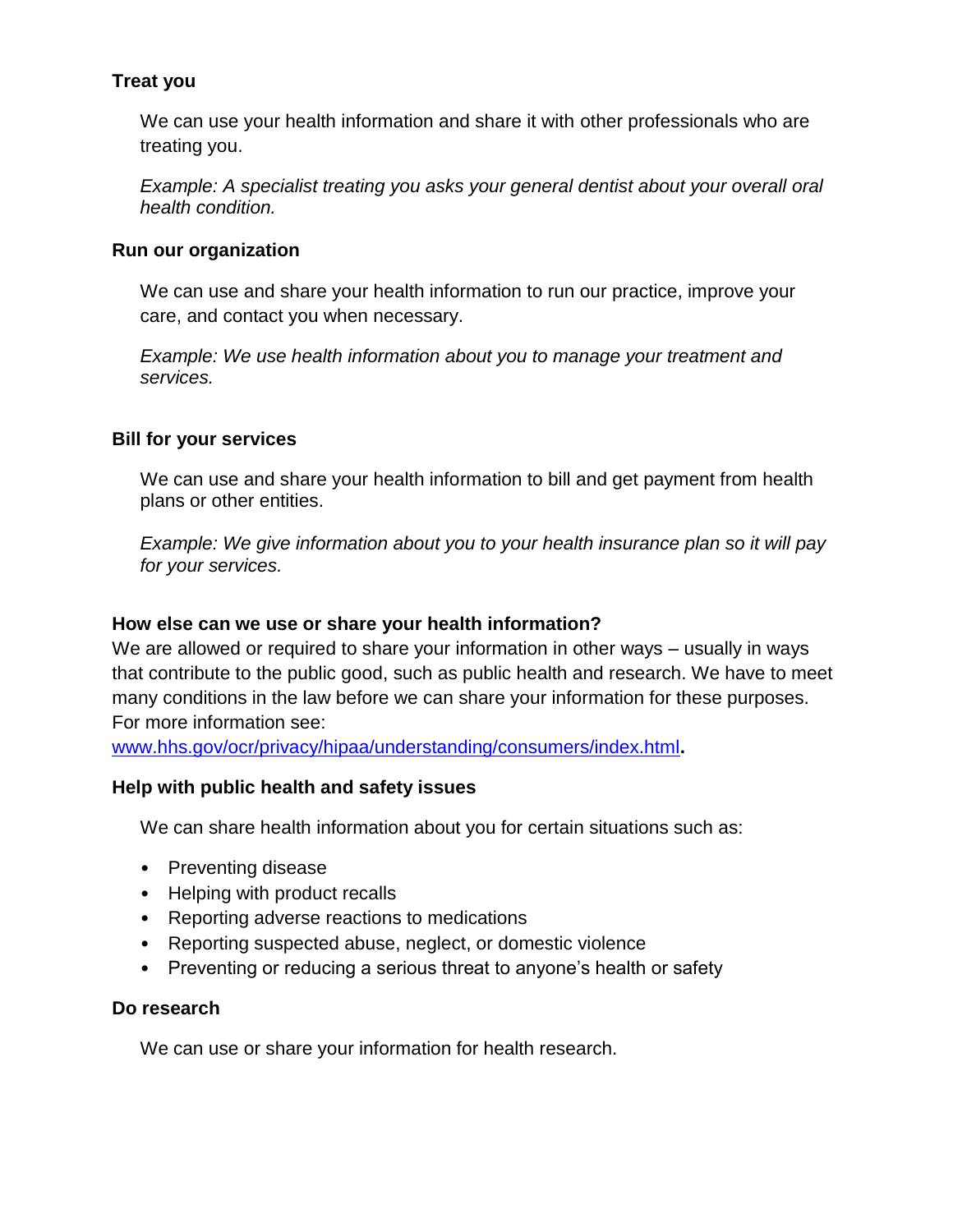#### **Treat you**

We can use your health information and share it with other professionals who are treating you.

*Example: A specialist treating you asks your general dentist about your overall oral health condition.*

## **Run our organization**

We can use and share your health information to run our practice, improve your care, and contact you when necessary.

*Example: We use health information about you to manage your treatment and services.* 

## **Bill for your services**

We can use and share your health information to bill and get payment from health plans or other entities.

*Example: We give information about you to your health insurance plan so it will pay for your services.* 

## **How else can we use or share your health information?**

We are allowed or required to share your information in other ways – usually in ways that contribute to the public good, such as public health and research. We have to meet many conditions in the law before we can share your information for these purposes. For more information see:

[www.hhs.gov/ocr/privacy/hipaa/understanding/consumers/index.html](http://www.hhs.gov/ocr/privacy/hipaa/understanding/consumers/index.html)**.**

#### **Help with public health and safety issues**

We can share health information about you for certain situations such as:

- Preventing disease
- Helping with product recalls
- Reporting adverse reactions to medications
- Reporting suspected abuse, neglect, or domestic violence
- Preventing or reducing a serious threat to anyone's health or safety

#### **Do research**

We can use or share your information for health research.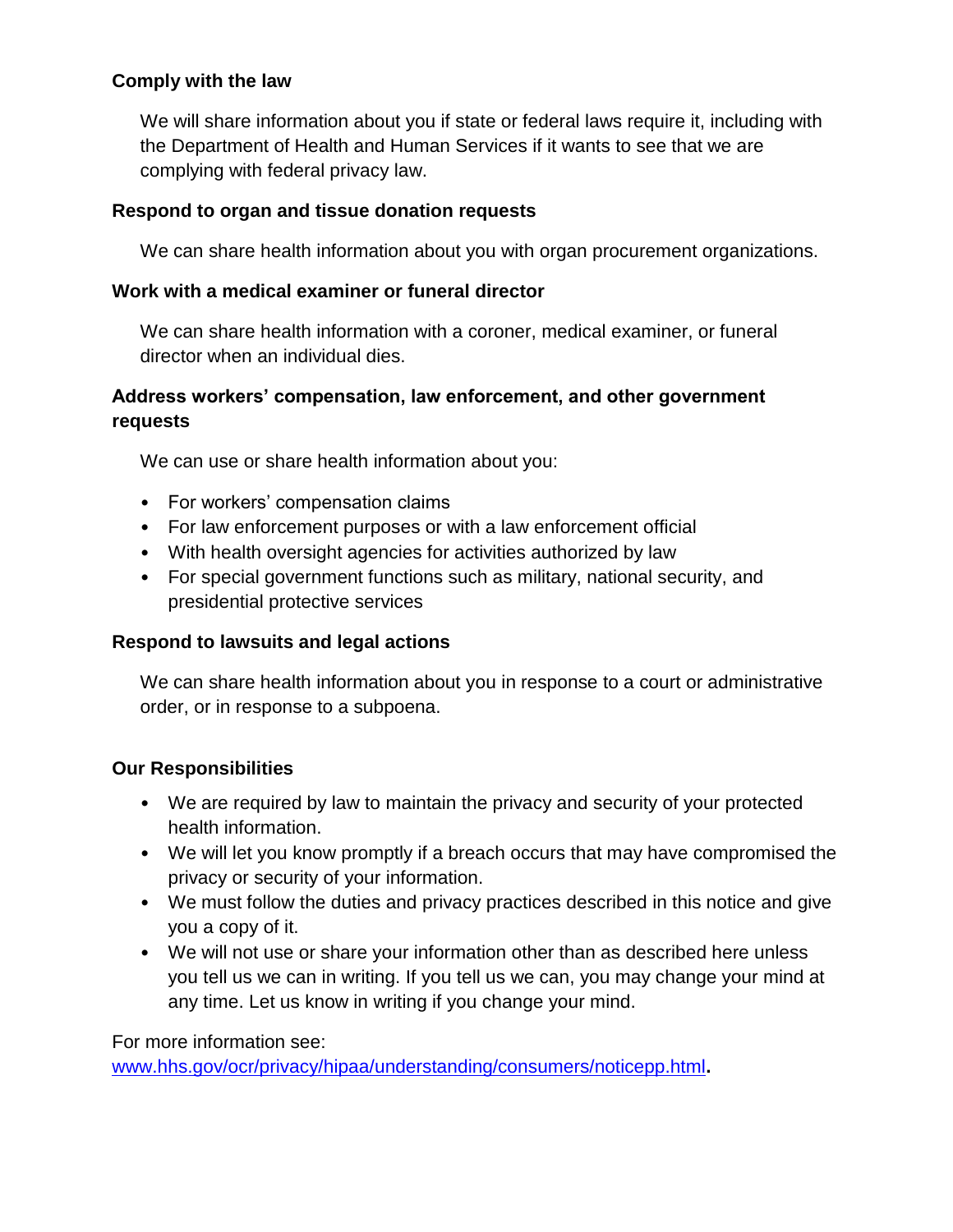## **Comply with the law**

We will share information about you if state or federal laws require it, including with the Department of Health and Human Services if it wants to see that we are complying with federal privacy law.

#### **Respond to organ and tissue donation requests**

We can share health information about you with organ procurement organizations.

#### **Work with a medical examiner or funeral director**

We can share health information with a coroner, medical examiner, or funeral director when an individual dies.

## **Address workers' compensation, law enforcement, and other government requests**

We can use or share health information about you:

- For workers' compensation claims
- For law enforcement purposes or with a law enforcement official
- With health oversight agencies for activities authorized by law
- For special government functions such as military, national security, and presidential protective services

#### **Respond to lawsuits and legal actions**

We can share health information about you in response to a court or administrative order, or in response to a subpoena.

#### **Our Responsibilities**

- We are required by law to maintain the privacy and security of your protected health information.
- We will let you know promptly if a breach occurs that may have compromised the privacy or security of your information.
- We must follow the duties and privacy practices described in this notice and give you a copy of it.
- We will not use or share your information other than as described here unless you tell us we can in writing. If you tell us we can, you may change your mind at any time. Let us know in writing if you change your mind.

For more information see:

[www.hhs.gov/ocr/privacy/hipaa/understanding/consumers/noticepp.html](http://www.hhs.gov/ocr/privacy/hipaa/understanding/consumers/noticepp.html)**.**